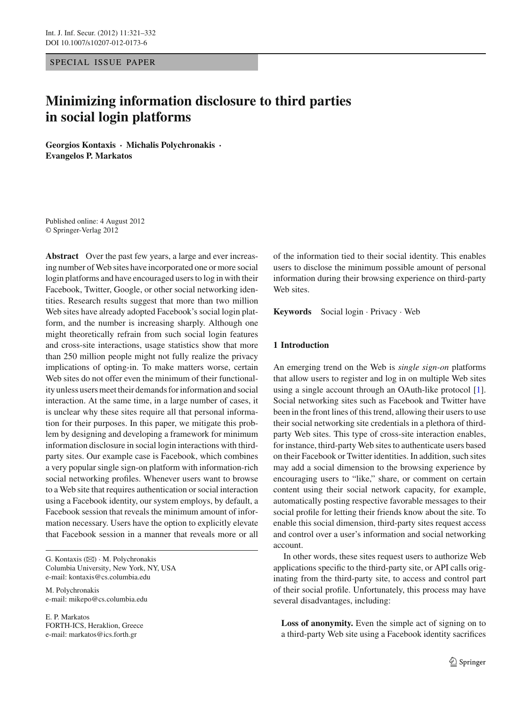SPECIAL ISSUE PAPER

# **Minimizing information disclosure to third parties in social login platforms**

**Georgios Kontaxis · Michalis Polychronakis · Evangelos P. Markatos**

Published online: 4 August 2012 © Springer-Verlag 2012

**Abstract** Over the past few years, a large and ever increasing number of Web sites have incorporated one or more social login platforms and have encouraged users to log in with their Facebook, Twitter, Google, or other social networking identities. Research results suggest that more than two million Web sites have already adopted Facebook's social login platform, and the number is increasing sharply. Although one might theoretically refrain from such social login features and cross-site interactions, usage statistics show that more than 250 million people might not fully realize the privacy implications of opting-in. To make matters worse, certain Web sites do not offer even the minimum of their functionality unless users meet their demands for information and social interaction. At the same time, in a large number of cases, it is unclear why these sites require all that personal information for their purposes. In this paper, we mitigate this problem by designing and developing a framework for minimum information disclosure in social login interactions with thirdparty sites. Our example case is Facebook, which combines a very popular single sign-on platform with information-rich social networking profiles. Whenever users want to browse to a Web site that requires authentication or social interaction using a Facebook identity, our system employs, by default, a Facebook session that reveals the minimum amount of information necessary. Users have the option to explicitly elevate that Facebook session in a manner that reveals more or all

G. Kontaxis (B) · M. Polychronakis Columbia University, New York, NY, USA e-mail: kontaxis@cs.columbia.edu

M. Polychronakis e-mail: mikepo@cs.columbia.edu

E. P. Markatos FORTH-ICS, Heraklion, Greece e-mail: markatos@ics.forth.gr

of the information tied to their social identity. This enables users to disclose the minimum possible amount of personal information during their browsing experience on third-party Web sites.

**Keywords** Social login · Privacy · Web

## **1 Introduction**

An emerging trend on the Web is *single sign-on* platforms that allow users to register and log in on multiple Web sites using a single account through an OAuth-like protocol [\[1](#page-10-0)]. Social networking sites such as Facebook and Twitter have been in the front lines of this trend, allowing their users to use their social networking site credentials in a plethora of thirdparty Web sites. This type of cross-site interaction enables, for instance, third-party Web sites to authenticate users based on their Facebook or Twitter identities. In addition, such sites may add a social dimension to the browsing experience by encouraging users to "like," share, or comment on certain content using their social network capacity, for example, automatically posting respective favorable messages to their social profile for letting their friends know about the site. To enable this social dimension, third-party sites request access and control over a user's information and social networking account.

In other words, these sites request users to authorize Web applications specific to the third-party site, or API calls originating from the third-party site, to access and control part of their social profile. Unfortunately, this process may have several disadvantages, including:

**Loss of anonymity.** Even the simple act of signing on to a third-party Web site using a Facebook identity sacrifices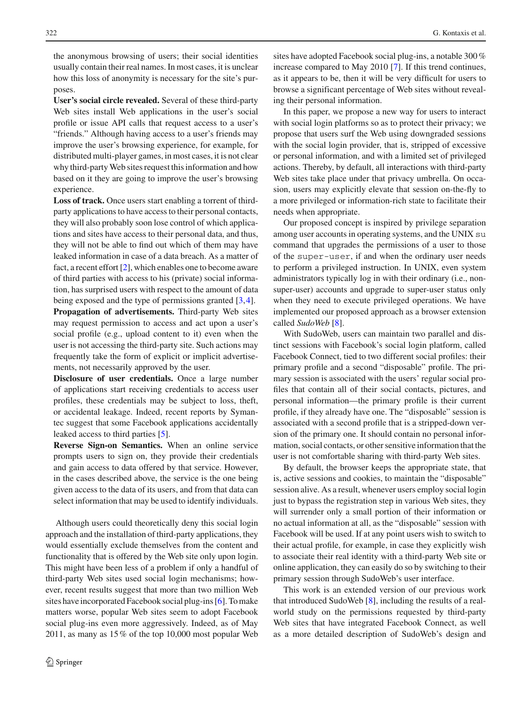the anonymous browsing of users; their social identities usually contain their real names. In most cases, it is unclear how this loss of anonymity is necessary for the site's purposes.

**User's social circle revealed.** Several of these third-party Web sites install Web applications in the user's social profile or issue API calls that request access to a user's "friends." Although having access to a user's friends may improve the user's browsing experience, for example, for distributed multi-player games, in most cases, it is not clear why third-party Web sites request this information and how based on it they are going to improve the user's browsing experience.

**Loss of track.** Once users start enabling a torrent of thirdparty applications to have access to their personal contacts, they will also probably soon lose control of which applications and sites have access to their personal data, and thus, they will not be able to find out which of them may have leaked information in case of a data breach. As a matter of fact, a recent effort [\[2\]](#page-10-1), which enables one to become aware of third parties with access to his (private) social information, has surprised users with respect to the amount of data being exposed and the type of permissions granted [\[3](#page-10-2),[4](#page-10-3)].

**Propagation of advertisements.** Third-party Web sites may request permission to access and act upon a user's social profile (e.g., upload content to it) even when the user is not accessing the third-party site. Such actions may frequently take the form of explicit or implicit advertisements, not necessarily approved by the user.

**Disclosure of user credentials.** Once a large number of applications start receiving credentials to access user profiles, these credentials may be subject to loss, theft, or accidental leakage. Indeed, recent reports by Symantec suggest that some Facebook applications accidentally leaked access to third parties [\[5](#page-10-4)].

**Reverse Sign-on Semantics.** When an online service prompts users to sign on, they provide their credentials and gain access to data offered by that service. However, in the cases described above, the service is the one being given access to the data of its users, and from that data can select information that may be used to identify individuals.

Although users could theoretically deny this social login approach and the installation of third-party applications, they would essentially exclude themselves from the content and functionality that is offered by the Web site only upon login. This might have been less of a problem if only a handful of third-party Web sites used social login mechanisms; however, recent results suggest that more than two million Web sites have incorporated Facebook social plug-ins [\[6\]](#page-10-5). To make matters worse, popular Web sites seem to adopt Facebook social plug-ins even more aggressively. Indeed, as of May 2011, as many as 15% of the top 10,000 most popular Web sites have adopted Facebook social plug-ins, a notable 300% increase compared to May 2010 [\[7\]](#page-10-6). If this trend continues, as it appears to be, then it will be very difficult for users to browse a significant percentage of Web sites without revealing their personal information.

In this paper, we propose a new way for users to interact with social login platforms so as to protect their privacy; we propose that users surf the Web using downgraded sessions with the social login provider, that is, stripped of excessive or personal information, and with a limited set of privileged actions. Thereby, by default, all interactions with third-party Web sites take place under that privacy umbrella. On occasion, users may explicitly elevate that session on-the-fly to a more privileged or information-rich state to facilitate their needs when appropriate.

Our proposed concept is inspired by privilege separation among user accounts in operating systems, and the UNIX su command that upgrades the permissions of a user to those of the super-user, if and when the ordinary user needs to perform a privileged instruction. In UNIX, even system administrators typically log in with their ordinary (i.e., nonsuper-user) accounts and upgrade to super-user status only when they need to execute privileged operations. We have implemented our proposed approach as a browser extension called *SudoWeb* [\[8\]](#page-10-7).

With SudoWeb, users can maintain two parallel and distinct sessions with Facebook's social login platform, called Facebook Connect, tied to two different social profiles: their primary profile and a second "disposable" profile. The primary session is associated with the users' regular social profiles that contain all of their social contacts, pictures, and personal information—the primary profile is their current profile, if they already have one. The "disposable" session is associated with a second profile that is a stripped-down version of the primary one. It should contain no personal information, social contacts, or other sensitive information that the user is not comfortable sharing with third-party Web sites.

By default, the browser keeps the appropriate state, that is, active sessions and cookies, to maintain the "disposable" session alive. As a result, whenever users employ social login just to bypass the registration step in various Web sites, they will surrender only a small portion of their information or no actual information at all, as the "disposable" session with Facebook will be used. If at any point users wish to switch to their actual profile, for example, in case they explicitly wish to associate their real identity with a third-party Web site or online application, they can easily do so by switching to their primary session through SudoWeb's user interface.

This work is an extended version of our previous work that introduced SudoWeb [\[8\]](#page-10-7), including the results of a realworld study on the permissions requested by third-party Web sites that have integrated Facebook Connect, as well as a more detailed description of SudoWeb's design and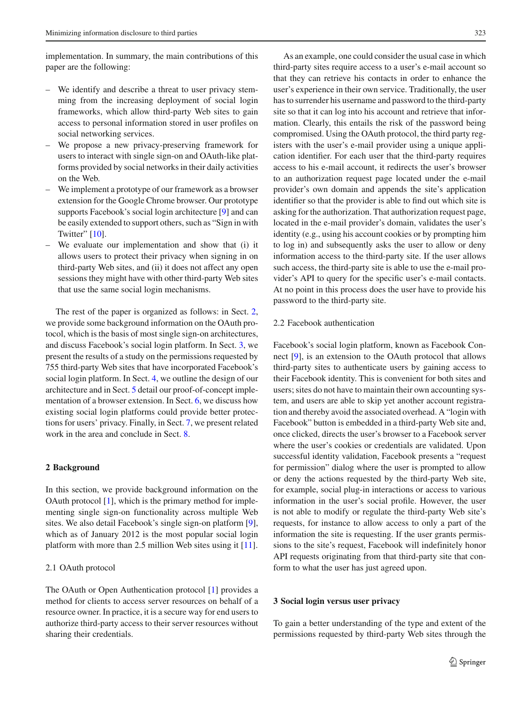implementation. In summary, the main contributions of this paper are the following:

- We identify and describe a threat to user privacy stemming from the increasing deployment of social login frameworks, which allow third-party Web sites to gain access to personal information stored in user profiles on social networking services.
- We propose a new privacy-preserving framework for users to interact with single sign-on and OAuth-like platforms provided by social networks in their daily activities on the Web.
- We implement a prototype of our framework as a browser extension for the Google Chrome browser. Our prototype supports Facebook's social login architecture [\[9](#page-10-8)] and can be easily extended to support others, such as "Sign in with Twitter" [\[10\]](#page-10-9).
- We evaluate our implementation and show that (i) it allows users to protect their privacy when signing in on third-party Web sites, and (ii) it does not affect any open sessions they might have with other third-party Web sites that use the same social login mechanisms.

The rest of the paper is organized as follows: in Sect. [2,](#page-2-0) we provide some background information on the OAuth protocol, which is the basis of most single sign-on architectures, and discuss Facebook's social login platform. In Sect. [3,](#page-2-1) we present the results of a study on the permissions requested by 755 third-party Web sites that have incorporated Facebook's social login platform. In Sect. [4,](#page-4-0) we outline the design of our architecture and in Sect. [5](#page-5-0) detail our proof-of-concept implementation of a browser extension. In Sect. [6,](#page-8-0) we discuss how existing social login platforms could provide better protections for users' privacy. Finally, in Sect. [7,](#page-9-0) we present related work in the area and conclude in Sect. [8.](#page-10-10)

#### <span id="page-2-0"></span>**2 Background**

In this section, we provide background information on the OAuth protocol [\[1](#page-10-0)], which is the primary method for implementing single sign-on functionality across multiple Web sites. We also detail Facebook's single sign-on platform [\[9](#page-10-8)], which as of January 2012 is the most popular social login platform with more than 2.5 million Web sites using it [\[11\]](#page-10-11).

## 2.1 OAuth protocol

The OAuth or Open Authentication protocol [\[1](#page-10-0)] provides a method for clients to access server resources on behalf of a resource owner. In practice, it is a secure way for end users to authorize third-party access to their server resources without sharing their credentials.

As an example, one could consider the usual case in which third-party sites require access to a user's e-mail account so that they can retrieve his contacts in order to enhance the user's experience in their own service. Traditionally, the user has to surrender his username and password to the third-party site so that it can log into his account and retrieve that information. Clearly, this entails the risk of the password being compromised. Using the OAuth protocol, the third party registers with the user's e-mail provider using a unique application identifier. For each user that the third-party requires access to his e-mail account, it redirects the user's browser to an authorization request page located under the e-mail provider's own domain and appends the site's application identifier so that the provider is able to find out which site is asking for the authorization. That authorization request page, located in the e-mail provider's domain, validates the user's identity (e.g., using his account cookies or by prompting him to log in) and subsequently asks the user to allow or deny information access to the third-party site. If the user allows such access, the third-party site is able to use the e-mail provider's API to query for the specific user's e-mail contacts. At no point in this process does the user have to provide his password to the third-party site.

## 2.2 Facebook authentication

Facebook's social login platform, known as Facebook Connect [\[9](#page-10-8)], is an extension to the OAuth protocol that allows third-party sites to authenticate users by gaining access to their Facebook identity. This is convenient for both sites and users; sites do not have to maintain their own accounting system, and users are able to skip yet another account registration and thereby avoid the associated overhead. A "login with Facebook" button is embedded in a third-party Web site and, once clicked, directs the user's browser to a Facebook server where the user's cookies or credentials are validated. Upon successful identity validation, Facebook presents a "request for permission" dialog where the user is prompted to allow or deny the actions requested by the third-party Web site, for example, social plug-in interactions or access to various information in the user's social profile. However, the user is not able to modify or regulate the third-party Web site's requests, for instance to allow access to only a part of the information the site is requesting. If the user grants permissions to the site's request, Facebook will indefinitely honor API requests originating from that third-party site that conform to what the user has just agreed upon.

## <span id="page-2-1"></span>**3 Social login versus user privacy**

To gain a better understanding of the type and extent of the permissions requested by third-party Web sites through the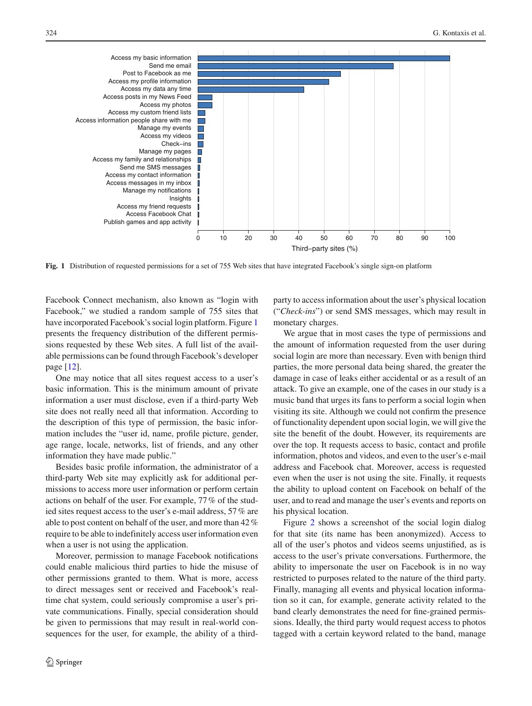

<span id="page-3-0"></span>**Fig. 1** Distribution of requested permissions for a set of 755 Web sites that have integrated Facebook's single sign-on platform

Facebook Connect mechanism, also known as "login with Facebook," we studied a random sample of 755 sites that have incorporated Facebook's social login platform. Figure [1](#page-3-0) presents the frequency distribution of the different permissions requested by these Web sites. A full list of the available permissions can be found through Facebook's developer page [\[12\]](#page-10-12).

One may notice that all sites request access to a user's basic information. This is the minimum amount of private information a user must disclose, even if a third-party Web site does not really need all that information. According to the description of this type of permission, the basic information includes the "user id, name, profile picture, gender, age range, locale, networks, list of friends, and any other information they have made public."

Besides basic profile information, the administrator of a third-party Web site may explicitly ask for additional permissions to access more user information or perform certain actions on behalf of the user. For example, 77% of the studied sites request access to the user's e-mail address, 57% are able to post content on behalf of the user, and more than 42% require to be able to indefinitely access user information even when a user is not using the application.

Moreover, permission to manage Facebook notifications could enable malicious third parties to hide the misuse of other permissions granted to them. What is more, access to direct messages sent or received and Facebook's realtime chat system, could seriously compromise a user's private communications. Finally, special consideration should be given to permissions that may result in real-world consequences for the user, for example, the ability of a third-

party to access information about the user's physical location ("*Check-ins*") or send SMS messages, which may result in monetary charges.

We argue that in most cases the type of permissions and the amount of information requested from the user during social login are more than necessary. Even with benign third parties, the more personal data being shared, the greater the damage in case of leaks either accidental or as a result of an attack. To give an example, one of the cases in our study is a music band that urges its fans to perform a social login when visiting its site. Although we could not confirm the presence of functionality dependent upon social login, we will give the site the benefit of the doubt. However, its requirements are over the top. It requests access to basic, contact and profile information, photos and videos, and even to the user's e-mail address and Facebook chat. Moreover, access is requested even when the user is not using the site. Finally, it requests the ability to upload content on Facebook on behalf of the user, and to read and manage the user's events and reports on his physical location.

Figure [2](#page-4-1) shows a screenshot of the social login dialog for that site (its name has been anonymized). Access to all of the user's photos and videos seems unjustified, as is access to the user's private conversations. Furthermore, the ability to impersonate the user on Facebook is in no way restricted to purposes related to the nature of the third party. Finally, managing all events and physical location information so it can, for example, generate activity related to the band clearly demonstrates the need for fine-grained permissions. Ideally, the third party would request access to photos tagged with a certain keyword related to the band, manage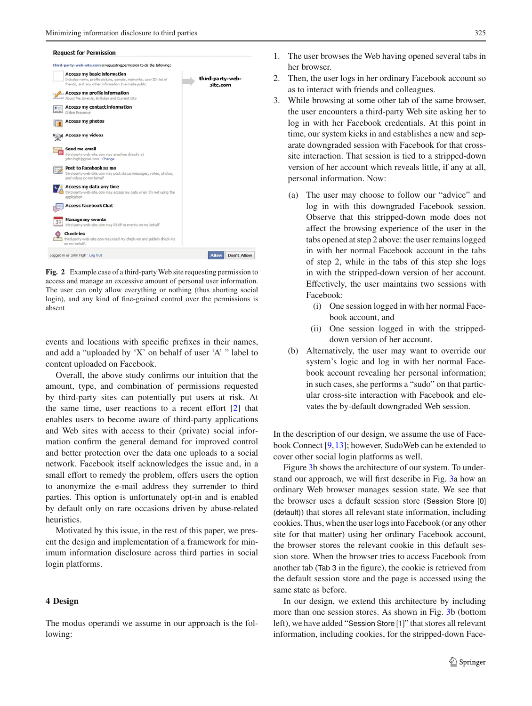

<span id="page-4-1"></span>**Fig. 2** Example case of a third-party Web site requesting permission to access and manage an excessive amount of personal user information. The user can only allow everything or nothing (thus aborting social login), and any kind of fine-grained control over the permissions is absent

events and locations with specific prefixes in their names, and add a "uploaded by 'X' on behalf of user 'A' " label to content uploaded on Facebook.

Overall, the above study confirms our intuition that the amount, type, and combination of permissions requested by third-party sites can potentially put users at risk. At the same time, user reactions to a recent effort [\[2](#page-10-1)] that enables users to become aware of third-party applications and Web sites with access to their (private) social information confirm the general demand for improved control and better protection over the data one uploads to a social network. Facebook itself acknowledges the issue and, in a small effort to remedy the problem, offers users the option to anonymize the e-mail address they surrender to third parties. This option is unfortunately opt-in and is enabled by default only on rare occasions driven by abuse-related heuristics.

Motivated by this issue, in the rest of this paper, we present the design and implementation of a framework for minimum information disclosure across third parties in social login platforms.

## <span id="page-4-0"></span>**4 Design**

The modus operandi we assume in our approach is the following:

- 1. The user browses the Web having opened several tabs in her browser.
- 2. Then, the user logs in her ordinary Facebook account so as to interact with friends and colleagues.
- 3. While browsing at some other tab of the same browser, the user encounters a third-party Web site asking her to log in with her Facebook credentials. At this point in time, our system kicks in and establishes a new and separate downgraded session with Facebook for that crosssite interaction. That session is tied to a stripped-down version of her account which reveals little, if any at all, personal information. Now:
	- (a) The user may choose to follow our "advice" and log in with this downgraded Facebook session. Observe that this stripped-down mode does not affect the browsing experience of the user in the tabs opened at step 2 above: the user remains logged in with her normal Facebook account in the tabs of step 2, while in the tabs of this step she logs in with the stripped-down version of her account. Effectively, the user maintains two sessions with Facebook:
		- (i) One session logged in with her normal Facebook account, and
		- (ii) One session logged in with the strippeddown version of her account.
	- (b) Alternatively, the user may want to override our system's logic and log in with her normal Facebook account revealing her personal information; in such cases, she performs a "sudo" on that particular cross-site interaction with Facebook and elevates the by-default downgraded Web session.

In the description of our design, we assume the use of Facebook Connect [\[9,](#page-10-8)[13\]](#page-10-13); however, SudoWeb can be extended to cover other social login platforms as well.

Figure [3b](#page-5-1) shows the architecture of our system. To understand our approach, we will first describe in Fig. [3a](#page-5-1) how an ordinary Web browser manages session state. We see that the browser uses a default session store (Session Store [0] (default)) that stores all relevant state information, including cookies. Thus, when the user logs into Facebook (or any other site for that matter) using her ordinary Facebook account, the browser stores the relevant cookie in this default session store. When the browser tries to access Facebook from another tab (Tab 3 in the figure), the cookie is retrieved from the default session store and the page is accessed using the same state as before.

In our design, we extend this architecture by including more than one session stores. As shown in Fig. [3b](#page-5-1) (bottom left), we have added "Session Store [1]" that stores all relevant information, including cookies, for the stripped-down Face-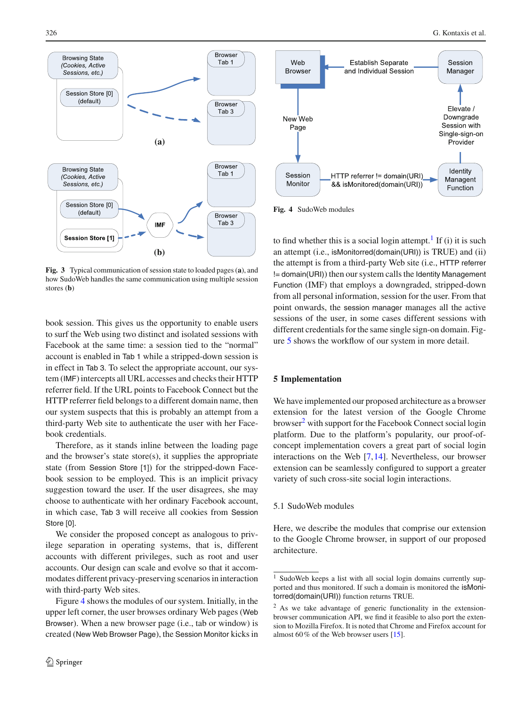

<span id="page-5-1"></span>**Fig. 3** Typical communication of session state to loaded pages (**a**), and how SudoWeb handles the same communication using multiple session stores (**b**)

book session. This gives us the opportunity to enable users to surf the Web using two distinct and isolated sessions with Facebook at the same time: a session tied to the "normal" account is enabled in Tab 1 while a stripped-down session is in effect in Tab 3. To select the appropriate account, our system (IMF) intercepts all URL accesses and checks their HTTP referrer field. If the URL points to Facebook Connect but the HTTP referrer field belongs to a different domain name, then our system suspects that this is probably an attempt from a third-party Web site to authenticate the user with her Facebook credentials.

Therefore, as it stands inline between the loading page and the browser's state store(s), it supplies the appropriate state (from Session Store [1]) for the stripped-down Facebook session to be employed. This is an implicit privacy suggestion toward the user. If the user disagrees, she may choose to authenticate with her ordinary Facebook account, in which case, Tab 3 will receive all cookies from Session Store [0].

We consider the proposed concept as analogous to privilege separation in operating systems, that is, different accounts with different privileges, such as root and user accounts. Our design can scale and evolve so that it accommodates different privacy-preserving scenarios in interaction with third-party Web sites.

Figure [4](#page-5-2) shows the modules of our system. Initially, in the upper left corner, the user browses ordinary Web pages (Web Browser). When a new browser page (i.e., tab or window) is created (New Web Browser Page), the Session Monitor kicks in



<span id="page-5-2"></span>**Fig. 4** SudoWeb modules

to find whether this is a social login attempt.<sup>1</sup> If (i) it is such an attempt (i.e., isMonitorred(domain(URI)) is TRUE) and (ii) the attempt is from a third-party Web site (i.e., HTTP referrer != domain(URI)) then our system calls the Identity Management Function (IMF) that employs a downgraded, stripped-down from all personal information, session for the user. From that point onwards, the session manager manages all the active sessions of the user, in some cases different sessions with different credentials for the same single sign-on domain. Figure [5](#page-6-0) shows the workflow of our system in more detail.

## <span id="page-5-0"></span>**5 Implementation**

We have implemented our proposed architecture as a browser extension for the latest version of the Google Chrome browser<sup>[2](#page-5-4)</sup> with support for the Facebook Connect social login platform. Due to the platform's popularity, our proof-ofconcept implementation covers a great part of social login interactions on the Web [\[7,](#page-10-6)[14\]](#page-10-14). Nevertheless, our browser extension can be seamlessly configured to support a greater variety of such cross-site social login interactions.

## 5.1 SudoWeb modules

Here, we describe the modules that comprise our extension to the Google Chrome browser, in support of our proposed architecture.

<span id="page-5-3"></span><sup>1</sup> SudoWeb keeps a list with all social login domains currently supported and thus monitored. If such a domain is monitored the isMonitorred(domain(URI)) function returns TRUE.

<span id="page-5-4"></span><sup>2</sup> As we take advantage of generic functionality in the extensionbrowser communication API, we find it feasible to also port the extension to Mozilla Firefox. It is noted that Chrome and Firefox account for almost 60% of the Web browser users [\[15\]](#page-10-15).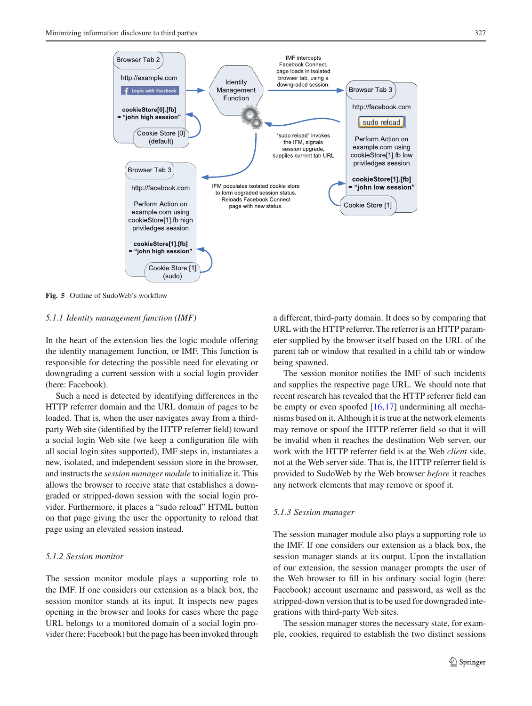



<span id="page-6-0"></span>**Fig. 5** Outline of SudoWeb's workflow

#### *5.1.1 Identity management function (IMF)*

In the heart of the extension lies the logic module offering the identity management function, or IMF. This function is responsible for detecting the possible need for elevating or downgrading a current session with a social login provider (here: Facebook).

Such a need is detected by identifying differences in the HTTP referrer domain and the URL domain of pages to be loaded. That is, when the user navigates away from a thirdparty Web site (identified by the HTTP referrer field) toward a social login Web site (we keep a configuration file with all social login sites supported), IMF steps in, instantiates a new, isolated, and independent session store in the browser, and instructs the *session manager module* to initialize it. This allows the browser to receive state that establishes a downgraded or stripped-down session with the social login provider. Furthermore, it places a "sudo reload" HTML button on that page giving the user the opportunity to reload that page using an elevated session instead.

## *5.1.2 Session monitor*

The session monitor module plays a supporting role to the IMF. If one considers our extension as a black box, the session monitor stands at its input. It inspects new pages opening in the browser and looks for cases where the page URL belongs to a monitored domain of a social login provider (here: Facebook) but the page has been invoked through a different, third-party domain. It does so by comparing that URL with the HTTP referrer. The referrer is an HTTP parameter supplied by the browser itself based on the URL of the parent tab or window that resulted in a child tab or window being spawned.

The session monitor notifies the IMF of such incidents and supplies the respective page URL. We should note that recent research has revealed that the HTTP referrer field can be empty or even spoofed  $[16, 17]$  $[16, 17]$  undermining all mechanisms based on it. Although it is true at the network elements may remove or spoof the HTTP referrer field so that it will be invalid when it reaches the destination Web server, our work with the HTTP referrer field is at the Web *client* side, not at the Web server side. That is, the HTTP referrer field is provided to SudoWeb by the Web browser *before* it reaches any network elements that may remove or spoof it.

## *5.1.3 Session manager*

The session manager module also plays a supporting role to the IMF. If one considers our extension as a black box, the session manager stands at its output. Upon the installation of our extension, the session manager prompts the user of the Web browser to fill in his ordinary social login (here: Facebook) account username and password, as well as the stripped-down version that is to be used for downgraded integrations with third-party Web sites.

The session manager stores the necessary state, for example, cookies, required to establish the two distinct sessions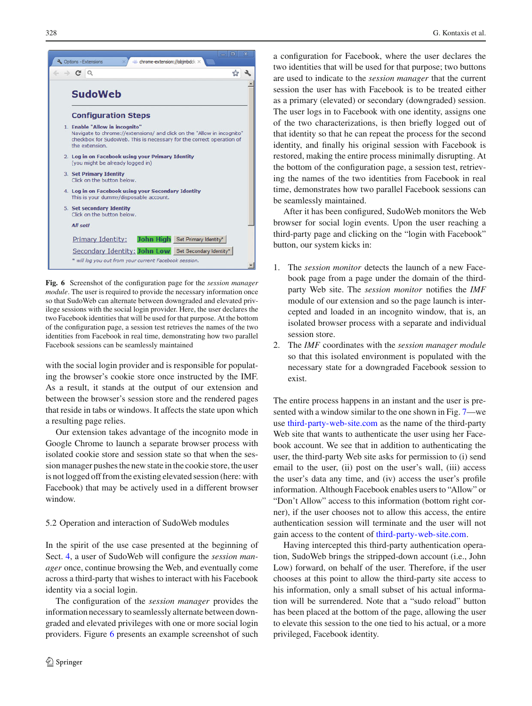

**Fig. 6** Screenshot of the configuration page for the *session manager module*. The user is required to provide the necessary information once so that SudoWeb can alternate between downgraded and elevated privilege sessions with the social login provider. Here, the user declares the two Facebook identities that will be used for that purpose. At the bottom of the configuration page, a session test retrieves the names of the two identities from Facebook in real time, demonstrating how two parallel Facebook sessions can be seamlessly maintained

<span id="page-7-0"></span>with the social login provider and is responsible for populating the browser's cookie store once instructed by the IMF. As a result, it stands at the output of our extension and between the browser's session store and the rendered pages that reside in tabs or windows. It affects the state upon which a resulting page relies.

Our extension takes advantage of the incognito mode in Google Chrome to launch a separate browser process with isolated cookie store and session state so that when the session manager pushes the new state in the cookie store, the user is not logged off from the existing elevated session (here: with Facebook) that may be actively used in a different browser window.

#### 5.2 Operation and interaction of SudoWeb modules

In the spirit of the use case presented at the beginning of Sect. [4,](#page-4-0) a user of SudoWeb will configure the *session manager* once, continue browsing the Web, and eventually come across a third-party that wishes to interact with his Facebook identity via a social login.

The configuration of the *session manager* provides the information necessary to seamlessly alternate between downgraded and elevated privileges with one or more social login providers. Figure [6](#page-7-0) presents an example screenshot of such a configuration for Facebook, where the user declares the two identities that will be used for that purpose; two buttons are used to indicate to the *session manager* that the current session the user has with Facebook is to be treated either as a primary (elevated) or secondary (downgraded) session. The user logs in to Facebook with one identity, assigns one of the two characterizations, is then briefly logged out of that identity so that he can repeat the process for the second identity, and finally his original session with Facebook is restored, making the entire process minimally disrupting. At the bottom of the configuration page, a session test, retrieving the names of the two identities from Facebook in real time, demonstrates how two parallel Facebook sessions can be seamlessly maintained.

After it has been configured, SudoWeb monitors the Web browser for social login events. Upon the user reaching a third-party page and clicking on the "login with Facebook" button, our system kicks in:

- 1. The *session monitor* detects the launch of a new Facebook page from a page under the domain of the thirdparty Web site. The *session monitor* notifies the *IMF* module of our extension and so the page launch is intercepted and loaded in an incognito window, that is, an isolated browser process with a separate and individual session store.
- 2. The *IMF* coordinates with the *session manager module* so that this isolated environment is populated with the necessary state for a downgraded Facebook session to exist.

The entire process happens in an instant and the user is presented with a window similar to the one shown in Fig. [7—](#page-8-1)we use <third-party-web-site.com> as the name of the third-party Web site that wants to authenticate the user using her Facebook account. We see that in addition to authenticating the user, the third-party Web site asks for permission to (i) send email to the user, (ii) post on the user's wall, (iii) access the user's data any time, and (iv) access the user's profile information. Although Facebook enables users to "Allow" or "Don't Allow" access to this information (bottom right corner), if the user chooses not to allow this access, the entire authentication session will terminate and the user will not gain access to the content of [third-party-web-site.com.](third-party-web-site.com)

Having intercepted this third-party authentication operation, SudoWeb brings the stripped-down account (i.e., John Low) forward, on behalf of the user. Therefore, if the user chooses at this point to allow the third-party site access to his information, only a small subset of his actual information will be surrendered. Note that a "sudo reload" button has been placed at the bottom of the page, allowing the user to elevate this session to the one tied to his actual, or a more privileged, Facebook identity.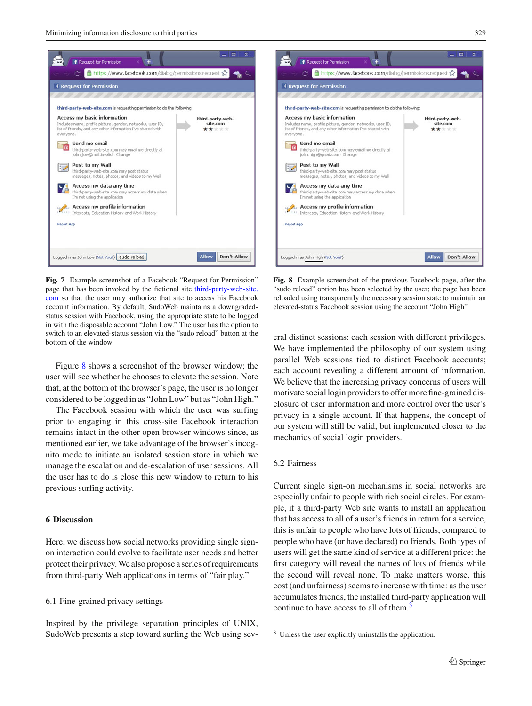

Logged in as John High (Not You?) **Fig. 8** Example screenshot of the previous Facebook page, after the "sudo reload" option has been selected by the user; the page has been reloaded using transparently the necessary session state to maintain an

<span id="page-8-1"></span>**Fig. 7** Example screenshot of a Facebook "Request for Permission" page that has been invoked by the fictional site [third-party-web-site.](third-party-web-site.com) [com](third-party-web-site.com) so that the user may authorize that site to access his Facebook account information. By default, SudoWeb maintains a downgradedstatus session with Facebook, using the appropriate state to be logged in with the disposable account "John Low." The user has the option to switch to an elevated-status session via the "sudo reload" button at the bottom of the window

Figure [8](#page-8-2) shows a screenshot of the browser window; the user will see whether he chooses to elevate the session. Note that, at the bottom of the browser's page, the user is no longer considered to be logged in as "John Low" but as "John High."

The Facebook session with which the user was surfing prior to engaging in this cross-site Facebook interaction remains intact in the other open browser windows since, as mentioned earlier, we take advantage of the browser's incognito mode to initiate an isolated session store in which we manage the escalation and de-escalation of user sessions. All the user has to do is close this new window to return to his previous surfing activity.

## <span id="page-8-0"></span>**6 Discussion**

Here, we discuss how social networks providing single signon interaction could evolve to facilitate user needs and better protect their privacy.We also propose a series of requirements from third-party Web applications in terms of "fair play."

## 6.1 Fine-grained privacy settings

Inspired by the privilege separation principles of UNIX, SudoWeb presents a step toward surfing the Web using several distinct sessions: each session with different privileges. We have implemented the philosophy of our system using parallel Web sessions tied to distinct Facebook accounts; each account revealing a different amount of information. We believe that the increasing privacy concerns of users will motivate social login providers to offer more fine-grained disclosure of user information and more control over the user's privacy in a single account. If that happens, the concept of our system will still be valid, but implemented closer to the mechanics of social login providers.

<span id="page-8-2"></span>elevated-status Facebook session using the account "John High"

## 6.2 Fairness

Current single sign-on mechanisms in social networks are especially unfair to people with rich social circles. For example, if a third-party Web site wants to install an application that has access to all of a user's friends in return for a service, this is unfair to people who have lots of friends, compared to people who have (or have declared) no friends. Both types of users will get the same kind of service at a different price: the first category will reveal the names of lots of friends while the second will reveal none. To make matters worse, this cost (and unfairness) seems to increase with time: as the user accumulates friends, the installed third-party application will continue to have access to all of them.<sup>3</sup>



<span id="page-8-3"></span><sup>&</sup>lt;sup>3</sup> Unless the user explicitly uninstalls the application.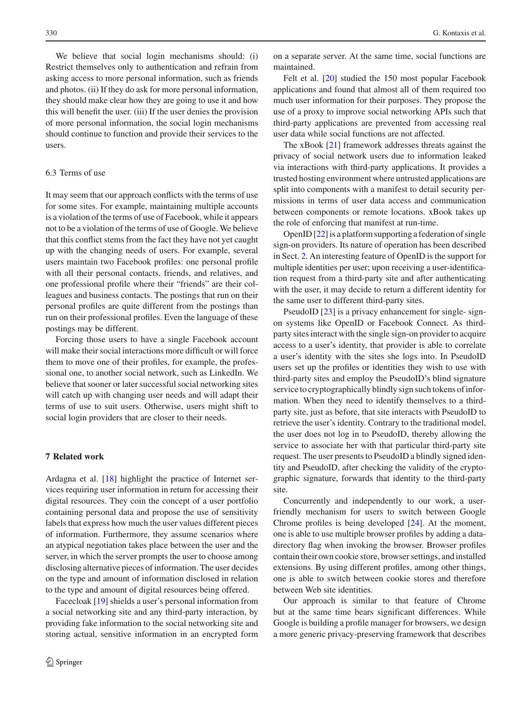We believe that social login mechanisms should: (i) Restrict themselves only to authentication and refrain from asking access to more personal information, such as friends and photos. (ii) If they do ask for more personal information, they should make clear how they are going to use it and how this will benefit the user. (iii) If the user denies the provision of more personal information, the social login mechanisms should continue to function and provide their services to the users.

#### 6.3 Terms of use

It may seem that our approach conflicts with the terms of use for some sites. For example, maintaining multiple accounts is a violation of the terms of use of Facebook, while it appears not to be a violation of the terms of use of Google. We believe that this conflict stems from the fact they have not yet caught up with the changing needs of users. For example, several users maintain two Facebook profiles: one personal profile with all their personal contacts, friends, and relatives, and one professional profile where their "friends" are their colleagues and business contacts. The postings that run on their personal profiles are quite different from the postings than run on their professional profiles. Even the language of these postings may be different.

Forcing those users to have a single Facebook account will make their social interactions more difficult or will force them to move one of their profiles, for example, the professional one, to another social network, such as LinkedIn. We believe that sooner or later successful social networking sites will catch up with changing user needs and will adapt their terms of use to suit users. Otherwise, users might shift to social login providers that are closer to their needs.

## <span id="page-9-0"></span>**7 Related work**

Ardagna et al. [\[18\]](#page-10-18) highlight the practice of Internet services requiring user information in return for accessing their digital resources. They coin the concept of a user portfolio containing personal data and propose the use of sensitivity labels that express how much the user values different pieces of information. Furthermore, they assume scenarios where an atypical negotiation takes place between the user and the server, in which the server prompts the user to choose among disclosing alternative pieces of information. The user decides on the type and amount of information disclosed in relation to the type and amount of digital resources being offered.

Facecloak [\[19\]](#page-10-19) shields a user's personal information from a social networking site and any third-party interaction, by providing fake information to the social networking site and storing actual, sensitive information in an encrypted form on a separate server. At the same time, social functions are maintained.

Felt et al. [\[20](#page-10-20)] studied the 150 most popular Facebook applications and found that almost all of them required too much user information for their purposes. They propose the use of a proxy to improve social networking APIs such that third-party applications are prevented from accessing real user data while social functions are not affected.

The xBook [\[21](#page-11-0)] framework addresses threats against the privacy of social network users due to information leaked via interactions with third-party applications. It provides a trusted hosting environment where untrusted applications are split into components with a manifest to detail security permissions in terms of user data access and communication between components or remote locations. xBook takes up the role of enforcing that manifest at run-time.

OpenID [\[22](#page-11-1)] is a platform supporting a federation of single sign-on providers. Its nature of operation has been described in Sect. [2.](#page-2-0) An interesting feature of OpenID is the support for multiple identities per user; upon receiving a user-identification request from a third-party site and after authenticating with the user, it may decide to return a different identity for the same user to different third-party sites.

PseudoID [\[23](#page-11-2)] is a privacy enhancement for single- signon systems like OpenID or Facebook Connect. As thirdparty sites interact with the single sign-on provider to acquire access to a user's identity, that provider is able to correlate a user's identity with the sites she logs into. In PseudoID users set up the profiles or identities they wish to use with third-party sites and employ the PseudoID's blind signature service to cryptographically blindly sign such tokens of information. When they need to identify themselves to a thirdparty site, just as before, that site interacts with PseudoID to retrieve the user's identity. Contrary to the traditional model, the user does not log in to PseudoID, thereby allowing the service to associate her with that particular third-party site request. The user presents to PseudoID a blindly signed identity and PseudoID, after checking the validity of the cryptographic signature, forwards that identity to the third-party site.

Concurrently and independently to our work, a userfriendly mechanism for users to switch between Google Chrome profiles is being developed [\[24\]](#page-11-3). At the moment, one is able to use multiple browser profiles by adding a datadirectory flag when invoking the browser. Browser profiles contain their own cookie store, browser settings, and installed extensions. By using different profiles, among other things, one is able to switch between cookie stores and therefore between Web site identities.

Our approach is similar to that feature of Chrome but at the same time bears significant differences. While Google is building a profile manager for browsers, we design a more generic privacy-preserving framework that describes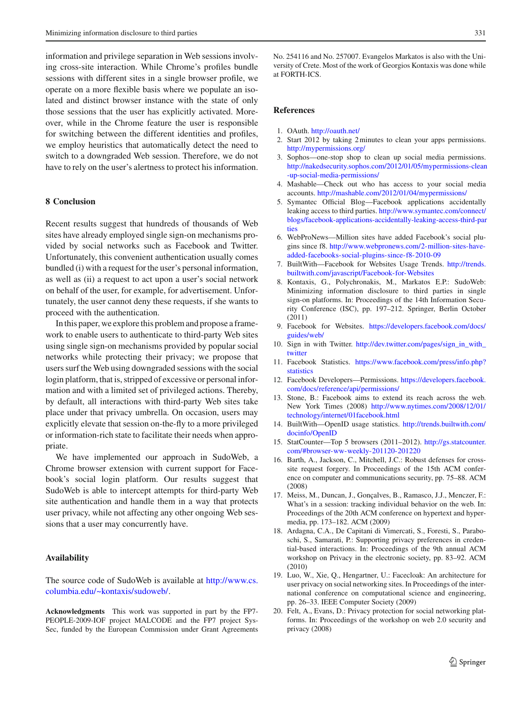information and privilege separation in Web sessions involving cross-site interaction. While Chrome's profiles bundle sessions with different sites in a single browser profile, we operate on a more flexible basis where we populate an isolated and distinct browser instance with the state of only those sessions that the user has explicitly activated. Moreover, while in the Chrome feature the user is responsible for switching between the different identities and profiles, we employ heuristics that automatically detect the need to switch to a downgraded Web session. Therefore, we do not have to rely on the user's alertness to protect his information.

## <span id="page-10-10"></span>**8 Conclusion**

Recent results suggest that hundreds of thousands of Web sites have already employed single sign-on mechanisms provided by social networks such as Facebook and Twitter. Unfortunately, this convenient authentication usually comes bundled (i) with a request for the user's personal information, as well as (ii) a request to act upon a user's social network on behalf of the user, for example, for advertisement. Unfortunately, the user cannot deny these requests, if she wants to proceed with the authentication.

In this paper, we explore this problem and propose a framework to enable users to authenticate to third-party Web sites using single sign-on mechanisms provided by popular social networks while protecting their privacy; we propose that users surf the Web using downgraded sessions with the social login platform, that is, stripped of excessive or personal information and with a limited set of privileged actions. Thereby, by default, all interactions with third-party Web sites take place under that privacy umbrella. On occasion, users may explicitly elevate that session on-the-fly to a more privileged or information-rich state to facilitate their needs when appropriate.

We have implemented our approach in SudoWeb, a Chrome browser extension with current support for Facebook's social login platform. Our results suggest that SudoWeb is able to intercept attempts for third-party Web site authentication and handle them in a way that protects user privacy, while not affecting any other ongoing Web sessions that a user may concurrently have.

## **Availability**

The source code of SudoWeb is available at [http://www.cs.](http://www.cs.columbia.edu/~kontaxis/sudoweb/) [columbia.edu/~kontaxis/sudoweb/.](http://www.cs.columbia.edu/~kontaxis/sudoweb/)

**Acknowledgments** This work was supported in part by the FP7- PEOPLE-2009-IOF project MALCODE and the FP7 project Sys-Sec, funded by the European Commission under Grant Agreements No. 254116 and No. 257007. Evangelos Markatos is also with the University of Crete. Most of the work of Georgios Kontaxis was done while at FORTH-ICS.

#### <span id="page-10-0"></span>**References**

- 1. OAuth. <http://oauth.net/>
- <span id="page-10-1"></span>2. Start 2012 by taking 2minutes to clean your apps permissions. <http://mypermissions.org/>
- <span id="page-10-2"></span>3. Sophos—one-stop shop to clean up social media permissions. [http://nakedsecurity.sophos.com/2012/01/05/mypermissions-clean](http://nakedsecurity.sophos.com/2012/01/05/mypermissions-clean-up-social-media-permissions/) [-up-social-media-permissions/](http://nakedsecurity.sophos.com/2012/01/05/mypermissions-clean-up-social-media-permissions/)
- <span id="page-10-3"></span>4. Mashable—Check out who has access to your social media accounts. <http://mashable.com/2012/01/04/mypermissions/>
- <span id="page-10-4"></span>5. Symantec Official Blog—Facebook applications accidentally leaking access to third parties. [http://www.symantec.com/connect/](http://www.symantec.com/connect/blogs/facebook-applications-accidentally-leaking-access-third-parties) [blogs/facebook-applications-accidentally-leaking-access-third-par](http://www.symantec.com/connect/blogs/facebook-applications-accidentally-leaking-access-third-parties) [ties](http://www.symantec.com/connect/blogs/facebook-applications-accidentally-leaking-access-third-parties)
- <span id="page-10-5"></span>6. WebProNews—Million sites have added Facebook's social plugins since f8. [http://www.webpronews.com/2-million-sites-have](http://www.webpronews.com/2-million-sites-have-added-facebooks-social-plugins-since-f8-2010-09)[added-facebooks-social-plugins-since-f8-2010-09](http://www.webpronews.com/2-million-sites-have-added-facebooks-social-plugins-since-f8-2010-09)
- <span id="page-10-6"></span>7. BuiltWith—Facebook for Websites Usage Trends. [http://trends.](http://trends.builtwith.com/javascript/Facebook-for-Websites) [builtwith.com/javascript/Facebook-for-Websites](http://trends.builtwith.com/javascript/Facebook-for-Websites)
- <span id="page-10-7"></span>8. Kontaxis, G., Polychronakis, M., Markatos E.P.: SudoWeb: Minimizing information disclosure to third parties in single sign-on platforms. In: Proceedings of the 14th Information Security Conference (ISC), pp. 197–212. Springer, Berlin October (2011)
- 9. Facebook for Websites. [https://developers.facebook.com/docs/](https://developers.facebook.com/docs/guides/web/) [guides/web/](https://developers.facebook.com/docs/guides/web/)
- <span id="page-10-9"></span><span id="page-10-8"></span>10. Sign in with Twitter. [http://dev.twitter.com/pages/sign\\_in\\_with\\_](http://dev.twitter.com/pages/sign_in_with_twitter) [twitter](http://dev.twitter.com/pages/sign_in_with_twitter)
- <span id="page-10-11"></span>11. Facebook Statistics. [https://www.facebook.com/press/info.php?](https://www.facebook.com/press/info.php?statistics) [statistics](https://www.facebook.com/press/info.php?statistics)
- <span id="page-10-12"></span>12. Facebook Developers—Permissions. [https://developers.facebook.](https://developers.facebook.com/docs/reference/api/permissions/) [com/docs/reference/api/permissions/](https://developers.facebook.com/docs/reference/api/permissions/)
- <span id="page-10-13"></span>13. Stone, B.: Facebook aims to extend its reach across the web. New York Times (2008) [http://www.nytimes.com/2008/12/01/](http://www.nytimes.com/2008/12/01/technology/internet/01facebook.html) [technology/internet/01facebook.html](http://www.nytimes.com/2008/12/01/technology/internet/01facebook.html)
- <span id="page-10-14"></span>14. BuiltWith—OpenID usage statistics. [http://trends.builtwith.com/](http://trends.builtwith.com/docinfo/OpenID) [docinfo/OpenID](http://trends.builtwith.com/docinfo/OpenID)
- <span id="page-10-15"></span>15. StatCounter—Top 5 browsers (2011–2012). [http://gs.statcounter.](http://gs.statcounter.com/#browser-ww-weekly-201120-201220) [com/#browser-ww-weekly-201120-201220](http://gs.statcounter.com/#browser-ww-weekly-201120-201220)
- <span id="page-10-16"></span>16. Barth, A., Jackson, C., Mitchell, J.C.: Robust defenses for crosssite request forgery. In Proceedings of the 15th ACM conference on computer and communications security, pp. 75–88. ACM (2008)
- <span id="page-10-17"></span>17. Meiss, M., Duncan, J., Gonçalves, B., Ramasco, J.J., Menczer, F.: What's in a session: tracking individual behavior on the web. In: Proceedings of the 20th ACM conference on hypertext and hypermedia, pp. 173–182. ACM (2009)
- <span id="page-10-18"></span>18. Ardagna, C.A., De Capitani di Vimercati, S., Foresti, S., Paraboschi, S., Samarati, P.: Supporting privacy preferences in credential-based interactions. In: Proceedings of the 9th annual ACM workshop on Privacy in the electronic society, pp. 83–92. ACM (2010)
- <span id="page-10-19"></span>19. Luo, W., Xie, Q., Hengartner, U.: Facecloak: An architecture for user privacy on social networking sites. In Proceedings of the international conference on computational science and engineering, pp. 26–33. IEEE Computer Society (2009)
- <span id="page-10-20"></span>20. Felt, A., Evans, D.: Privacy protection for social networking platforms. In: Proceedings of the workshop on web 2.0 security and privacy (2008)